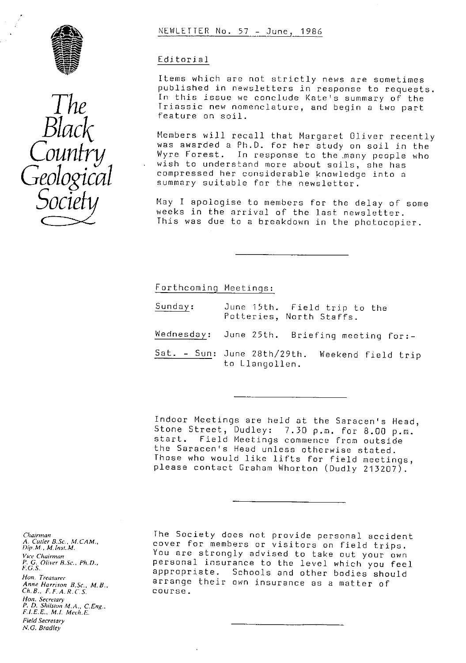



### NEWLETTER No. 57 - June, 1986

### Editorial

Items which are not strictly news are sometimes published in newsletters in response to requests. In this issue we conclude Kate's summary of the Triassic new nomenclature, and begin a two part feature on soil.

Members will recall that Margaret Oliver recently was awarded a Ph.D. for her study on soil in the Wyre Forest. In response to the many people who wish to understand more about soils, she has compressed her considerable knowledge into a summary suitable for the newsletter.

May I apologise to members for the delay of some weeks in the arrival of the last newsletter. This was due to a breakdown in the photocopier.

Forthcomina Meetinas:

- Sunday: June 15th. Field trip to the Potteries, North Staffs.
- Wedn<u>esday</u>: June 25th. Briefing meeting for:-
- Sat. Sun: June 28th/29th. Weekend field trip to Llangollen.

Indoor Meetings are held at the Saracen's Head, Stone Street, Dudley: 7.30 p.m. for 8.00 p.m. start. Field Meetings commence from outside the Saracen's Head unless otherwise stated. Those who would like lifts for field meetings, please contact Graham Whorton (Dudly 213207).

*Chairman A. Cutler B.Sc., M. CAM., Dip. M. ,* M. *Inse. M.* Vice Chairman *P. G. Oliver R.Sc.. Ph. D., F.* G. S. *Hon. Treasurer Anne Harrison B.Sc., M.B.,* Ch. B., F. F. A. R. C.S. *Hon. Secretary P. D.* Shilstan M.A., *C.Eng.. FIEF., M.I. Mech.E.* Field Secretary *N.G. Bradley*

The Society does not provide personal accident cover for members or visitors on field trips. You are strongly advised to take out your own personal insurance to the level which you feel appropriate. Schools and other bodies should arrange their own insurance as a matter of course.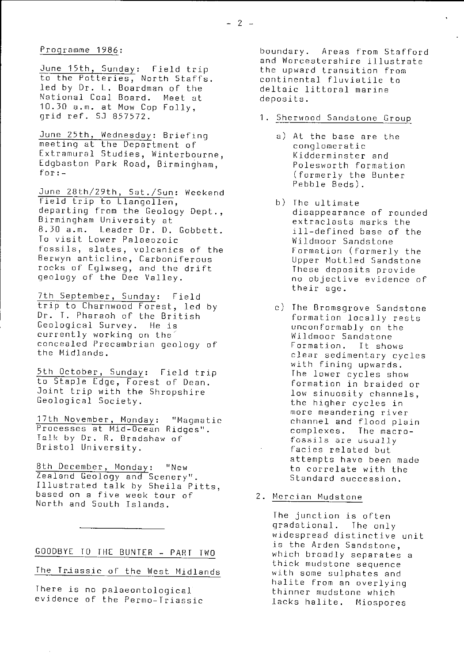### Programme 1986:

June 15th, Sunday: Field trip to the Potteries, North Staffs. led by Dr. L. Boardman of the National Coal Board. Meet at 10.30 a.m. at Maw Cop Folly, grid ref. Si 857572.

June 25th, Wednesday: Briefing (a) At the base are the meeting at the Department of meeting at the Department of<br>Extramural Studies, Winterbourne, The Kidderminster and Extramural Studies, Winterbourne, Kidderminster and<br>Edgbaston Park Road, Birmingham, Kelesworth formation Edgbaston Park Road, Birmingham,

June 28th/29th, Sat./Sun: Weekend Field trip to Llangollen,<br>departing from the Geology Dept., b) The ultimate of rounded departing from the Geology Dept., and disappearance of rounded areas of the Birmingham University at Birmingham University at the second contractasts marks the second contract in the second contract of the second contract of the second contract of the second contract of the second contract of the second contract of the se 8.30 a.m. Leader Dr. D. Gobbett. ill-defined base of the To visit Lower Palaeozoic Wildmoor Sandstone fossils, slates, volcanics of the Formation ( formerly the Berwyn anticline, Carboniferous and Upper Mottled Sandstone<br>
Focks of Eglwseg, and the drift and These deposits provide rocks of Eglwseg, and the drift<br>geology of the Dee Valley.

<u>7th September, Sunday</u>: Field trip to Charnwood Forest, led by c) The Bromsgrove Sandstone Dr. T. Pharaoh of the British formation locally rests Geological Survey. He is the second conformably on the unconformably on the unconformably on the unconformably on the second wild move of the second wild move that wild move that wild move that wild move that wild move tha currently working on the Mildmoor Sandstone<br>concealed Precambrian geology of Formation. It shows concealed Precambrian geology of<br>the Midlands.

5th October, Sunday: Field trip The lower cycles show to Staple Edge, Forest of Dean. formation in braided or Joint trip with the Shropshire<br>
Geological Society.<br>
Geological Society.<br>
Line higher evaluation

17th November, Monday: "Magmatic channel and flood plain<br>Processes at Mid-Ocean Ridges". Complexes. The macro-Processes at Mid-Ocean Ridges".<br>
Talk by Dr. R. Bradshaw of Fossils are usually Talk by Dr. R. Bradshaw of fossils are usually Bristol University.  $\qquad \qquad \qquad$  facies related but

8th December, Monday: "New to correlate with the Realand Geology and Scenery".<br>Tealand Geology and Scenery". The Standard succession. Zealand Geology and Scenery". Illustrated talk by Sheila Pitts, based on a five week tour of 2. Mercian Mudstone North and South Islands.

GOODBYE TO THE BUNTER -- PART TWO

The Triassic of the West Midlands

There is no palaeontological evidence of the Permo-Triassic

boundary. Areas from Stafford and Worcestershire illustrate the upward transition from continental fluviatile to deltaic littoral marine deposits.

1. Sherwood Sandstone Grou

- (formerly the Bunter Pebble Beds).
- no objective evidence of their age.
- clear sedimentary cycles with fining upwards.<br>The lower cycles show the higher cycles in more meandering river<br>channel and flood plain attempts have been made<br>to correlate with the

The junction **is** often gradational. The only widespread distinctive unit is the Arden Sandstone, which broadly separates a thick mudstone sequence with some sulphates and halite from an overlying thinner mudstone which lacks halite. Miospores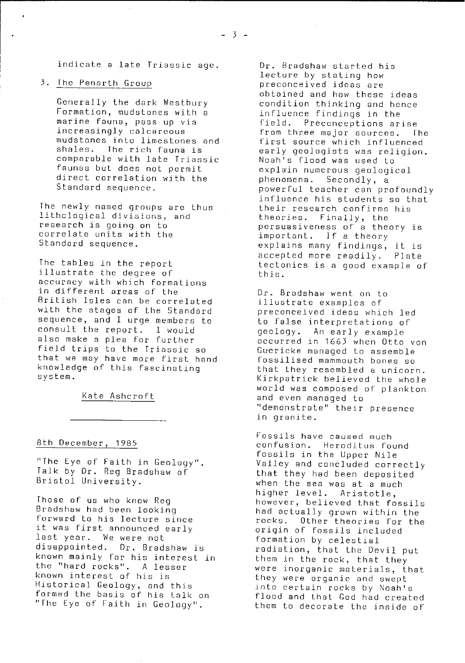indicate a late Triassic age.

### 3. The Penarth Grou

Generally the dark Westbury Formation, mudstones with a marine fauna, pass up via increasingly calcareous mudstones into limestones and shales. The rich fauna is comparable with late Triassic faunas but does not permit direct correlation with the Standard sequence.

The newly named groups are thus lithclogical divisions, and research is going on to correlate units with the Standard sequence.

The tables in the report illustrate the degree of accuracy with which formations in different areas of the British Isles can be correlated with the stages of the Standard sequence, and I urge members to consult the report. I would also make a plea for further field trips to the Triassic so that we may have more first hand knowledge of this fascinating system.

Kate Ashcroft

### 8th December, 1985

"The Eye of Faith in Geology" Talk by Dr. Reg Bradshaw of Bristol University.

Those of us who know Reg Bradshaw had been looking **forward to his** lecture since it was first announced early last year. We were not disappointed. Dr. Bradshaw is known mainly for his interest in the "hard rocks". A lesser known interest of his is Historical Geology, and this formed the basis of his talk on "The Eye of Faith in Geology".

Dr. Bradshaw started his lecture by stating how preconceived ideas are obtained and how these ideas condition thinking and hence influence findings in the field. Preconceptions arise from three major sources. The first source which influenced early geologists was religion. Noah's flood was used to explain numerous geological phenomena. Secondly, a powerful teacher can profoundly influence his students so that their research confirms his theories. Finally, the persuasiveness of a theory is important. If a theory explains many findings, it is accepted more readily. Plate tectonics is a good example of this.

Dr. Bradshaw went on to illustrate examples of preconceived ideas which led to false interpretations of geology. An early example occurred in 1663 when Otto von Guericke managed to assemble fossilised mammouth bones so that they resembled a unicorn. Kirkpatrick believed the whole world was composed of plankton and even managed to "demonstrate" their presence in granite.

Fossils have caused much confusion. Heroditus found fossils in the Upper Nile Valley and concluded correctly that they had been deposited when the sea was at a much higher level. Aristotle, however, believed that fossils had actually grown within the rocks. Other theories for the origin of fossils included formation by celestial radiation, that the Devil put them in the rock, that they were inorganic materials, that they were organic and swept into certain rocks by Noah's flood and that God had created them to decorate the inside of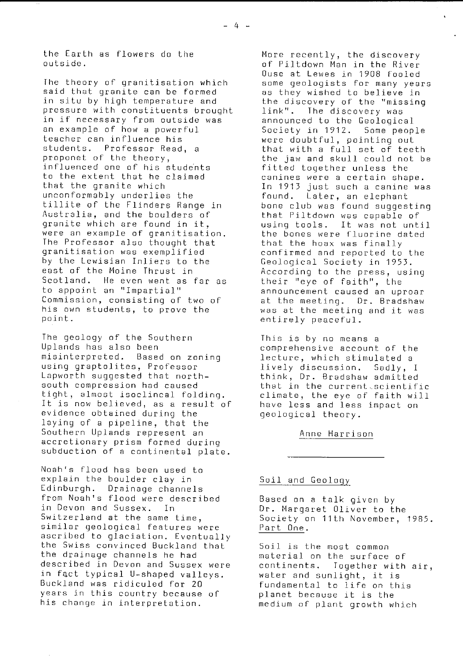the Earth as flowers do the outside.

The theory of granitisation which said that granite can be formed in situ by high temperature and pressure with constituents brought in if necessary from outside was an example of how a powerful teacher can influence his students. Professor Read, a proponet of the theory, influenced one of his students to the extent that he claimed that the granite which unconformably underlies the tillite of the Flinders Range in Australia, and the boulders of granite which are found in it, were an example of granitisation. The Professor also thought that granitisation was exemplified by the Lewisian Inliers to the east of the Maine Thrust in Scotland. He even went as far as to appoint an "Impartial" Commission, consisting of two of his own students, to prove the point.

The geology of the Southern Uplands has also been misinterpreted. Based on zoning using graptolites, Professor Lapworth suggested that northsouth compression had caused tight, almost isoclincal folding. It is now believed, as a result of evidence obtained during the laying of a pipeline, that the Southern Uplands represent an accretionary prism formed during subduction of a continental plate.

Noah's flood has been used to explain the boulder clay in Edinburgh. Drainage channels from Noah's flood were described in Devon and Sussex. In Switzerland at the same time, similar geological features were ascribed to glaciation. Eventually the Swiss convinced Buckland that the drainage channels he had described in Devon and Sussex were in fact typical U-shaped valleys. Buckland was ridiculed for 20 years in this country because of his change in interpretation.

More recently, the discovery of Piltdown Man in the River Buse at Lewes in 1908 fooled some geologists for many years as they wished to believe in the discovery of the "missing<br>link". The discovery was The discovery was announced to the Geological Society in 1912. Some people were doubtful, pointing out that with a full set of teeth the jaw and skull could not be fitted together unless the canines were a certain shape. In 1913 just such a canine was found. Later, an elephant bone club was found suggesting that Piltdown was capable of using tools. It was not until the bones were fluorine dated that the hoax was finally confirmed and reported to the Geological Society in 1953. According to the press, using their "eye of faith", the announcement caused an uproar at the meeting. Dr. Bradshaw was at the meeting and it was entirely peaceful.

This is by no means a comprehensive account of the lecture, which stimulated a lively discussion. Sadly, I think, Dr. Bradshaw admitted that in the current.scientific climate, the eye of faith will have less and less impact on geological theory.

Anne Harrison

### Soil and Geology

Based on a talk given by Dr. Margaret Oliver to the Society on 11th November, 1985. Part One.

Soil is the most common material on the surface of continents. Together with air, water and sunlight, it is fundamental to life on this planet because it is the medium of plant growth which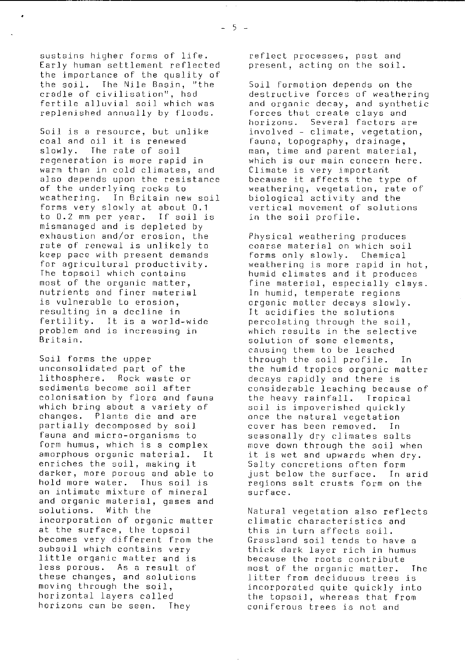sustains higher forms of life. Early human settlement reflected the importance of the quality of the soil. The Nile Basin, "the cradle of civilisation", had fertile alluvial soil which was replenished annually by floods.

Soil is a resource, but unlike coal and oil it is renewed slowly. The rate of soil regeneration is more rapid in warm than in cold climates, and also depends upon the resistance of the underlying rocks to weathering. In Britain new soil forms very slowly at about 0.1 to 0.2 mm per year. If soil is mismanaged and is depleted by exhaustion and/or erosion, the rate of renewal is unlikely to keep pace with present demands for agricultural productivity. The topsoil which contains most of the organic matter, nutrients and finer material is vulnerable to erosion, resulting in a decline in fertility. It is a world-wide problem and is increasing in Britain.

Soil forms the upper unconsolidated part of the lithosphere. Rock waste or sediments become soil after colonisation by flora and fauna which bring about a variety of changes. Plants die and are partially decomposed by soil fauna and micro-organisms to form humus, which is a complex amorphous organic material. It enriches the soil, making it darker, more porous and able to hold more water. Thus soil is an intimate mixture of mineral and organic material, gases and solutions. With the incorporation of organic matter at the surface, the topsoil becomes very different from the subsoil which contains very little organic matter and is less porous. As a result of these changes, and solutions moving through the soil, horizontal layers called horizons can be seen. They

reflect processes, past and present, acting on the soil.

Soil formation depends on the destructive forces of weathering and organic decay, and synthetic forces that create clays and horizons. Several factors are involved - climate, vegetation, fauna, topography, drainage, man, time and parent material, which is our main concern here. Climate is very important because it affects the type of weathering, vegetation, rate of biological activity and the vertical movement of solutions in the soil profile.

Physical weathering produces coarse material on which soil forms only slowly. Chemical weathering is more rapid in hot, humid climates and it produces fine material, especially clays. In humid, temperate regions organic matter decays slowly. It acidifies the solutions percolating through the soil, which results in the selective solution of some elements, causing them to be leached through the soil profile. In the humid tropics organic matter decays rapidly and there is considerable leaching because of the heavy rainfall. Tropical soil is impoverished quickly once the natural vegetation cover has been removed. In seasonally dry climates salts move down through the soil when it is wet and upwards when dry. Salty concretions often form just below the surface. In arid regions salt crusts form on the surface.

Natural vegetation also reflects climatic characteristics and this in turn affects soil. Grassland soil tends to have a thick dark layer rich in humus because the roots contribute most of the organic matter. The litter from deciduous trees is incorporated quite quickly into the topsoil, whereas that from coniferous trees is not and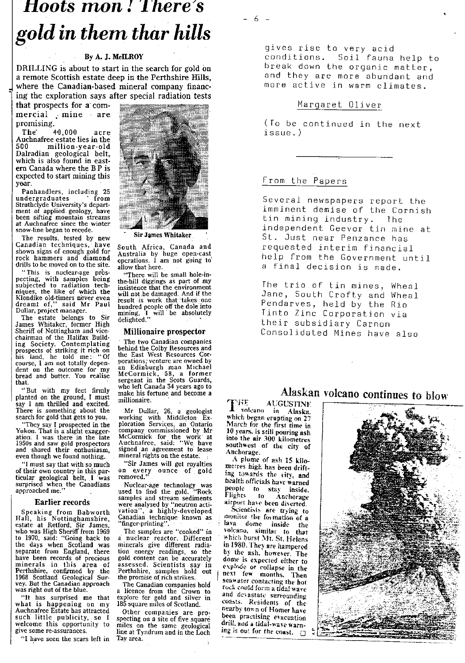# *Hoots mon! There's* gold *in* them *thar* hills

### By A. J. McILROY

DRILLING is about to start in the search for gold on a remote Scottish estate deep in the Perthshire Hills, where the Canadian-based mineral company financing the exploration says after special radiation tests

that prospects for a' commercial mine are promising.<br>The 40,000

The 4,0,000 acre Auchnafree estate lies in the 500 million-year-old ^ Dalradian geological belt, which is also found in east ern Canada where the B P is expected to start mining this<br>year. year. <: n:: ::

undergraduates from :. Strathclyde University's depart<br>ment of applied geology, have<br>been sifting mountain streams at Auchnafree since the winter snow-line began to recede.

The results, tested by new Sir James Whitaker<br>Canadian techniques, have South Africa. Canada Lanadian techniques, have South Africa, Canada and shown signs of enough gold for Anstralia by huge open-cast

This is nuclear-age pros-<br>peeting, with samples being<br>subjected to radiation tech. the-hill diggings as part of my

The estate belongs to Sir<br>James Whitaker, former High Sheriff of Nottingham and vice-<br>chairman of the Holifor Build chairman of the Halifax Build.<br>
ing Society. Contemplating The two Canadian companies<br>
prospects of striking it rich on behind the Colby Resources cor-<br>
his land, he told me: "Of the East West Resources Corchairman of the Halifax Build-<br>ing Society. Contemplating<br>prospects of striking it rich on the behind the Colby Resources and<br>his land, he told me: "Of the East West Resources Cor-<br>course, I am not totally depen-<br>porations bread and butter. You realise that.

planted on thrilled and excited.<br>There is something about the There is something about the Mr Dollar, 26, <sup>a</sup> geologist

Yukon. That is a slight exagger- company commissioned by Mr ation. I was there in the late McCormick for the work' at 1950s and saw gold prospectors Auchnafree, said: "We have and sharedtheir enthusiasm, signed an agreement to lease even though we found nothing. . mineral rights on the estate.<br>"I must say that with so much "Sir James will get royalties"

"I must say that with so much of their own country in this particular geological belt, I was removed." surprised when the Canadians Nuclear-age technology was

### Earlier records

Hall, his Nottinghamshire, Canadian technique known as estate at Retford, Sir James, "finger-printing". who was High Sheriff from 1969 The samples are "cooked" in to 1970, said: "Going back to a nuclear reactor. Different the days when Scotland was minerals give different radia-separate from England, there tion energy readings, so the to 1970, said: "Going back to a nuclear reactor. Different the days when Scotland was minerals give different radia-<br>separate from England, there is<br>to energy readings, so the have been records of precious gold content can minerals in this area of assessed. Scientists say in Perthshire, confirmed by the Perthshire, samples hold out 1968 Scotland Geological Sur- the promise of rich strikes. vey. But the Canadian approach The Canadian companies hold

what is happening on my<br>Auchnafree Estate has attracted such little publicity, so I welcome this opportunity to welcome this opportunity to miles on the same geological<br>give some re-assurances. In the at Tyndrum and in the Loch

"I have seen the scars left in



Australia by huge open-cast<br>operations. I am not going to rock hammers and diamond operations. 1 am not going to drills to be moved on to the site. allow that here.<br>
"This is nuclear-age prose "There will be small hole-in-

subjected to radiation tech-<br>niques, the like of which the insistence that the environment<br>niques, the like of which the will not be damaged. And if the<br>Klondike old-timers never even result is work that takes one<br>dreamt o

an Edinburgh man Michael<br>McCormick, 58, a former that.<br>But with my feet firmly who left Canada 34 years ago to<br>make his fortune and become a sergeant in the Scots Guards,<br>who left Canada 34 years ago to make his fortune and become a

search for gold that gets to you. working with Middleton Ex- "They say I prospected in the ploration Services, an Ontario."

on every ounce of gold<br>removed."

approached me."  $\qquad \qquad$  used to find the gold. ""Rock"<br> **Earlier records** samples and stream sediments Example Frecurus were analysed by "neutron acti-<br>Speaking from Babworth Yation", a highly-developed

as right out of the blue. <br>"It has surprised me that explore for gold and silver in explore for gold and silver in 185 square miles of Scotland.

Other companies are pro-<br>specting on a site of five square line at Tyndrum and in the Loch<br>Tay area. 6

gives rise to very acid conditions. Soil fauna help to break down the organic matter, and they are more abundant and more active in warm climates.

### Margaret Oliver

( To be continued in the next issue. )

### From the Papers

Several newspapers report the imminent demise of the Cornish<br>tin mining industry. The tin mining industry. independent Geevor tin mine at St. Just near Penzance has requested interim financial help from the Government until a final decision is made.

The trio of tin mines, Wheal Jane, South Crofty and Wheal Pendarves, held by the Rio Tinto Zinc Corporation via their subsidiary Carnon Consolidated Mines have also

## Alaskan volcano continues to blow

**FHE** AUGUSTINE volcano in Alaska, which began erupting on 27 March for the first time in 10 tears, is still pouring ash into the air 300 kilometres southwest of the city of Anchorage.

:A plume of ash I5 kilometres high has been drifting towards the city, and health officials have warned people to stay inside. Fligh,. to Anchorage airport have been diverted

Scientists are trying to<br>Scientists are trying to<br>the formation of a lava dome inside the volcano, similar to that which burst '1t. St. Helens in 1980. They are hampered by the ash. however. The dome is expected either to explode or collapse in the next few months. Then seawater contacting the hot rock could form a tidal wave and devastate surrounding coasts. Residents of the nearby tov.n of Homer have been practising evacuation drill, and a tidal-wave warning is out for the coast.  $\Box$ 

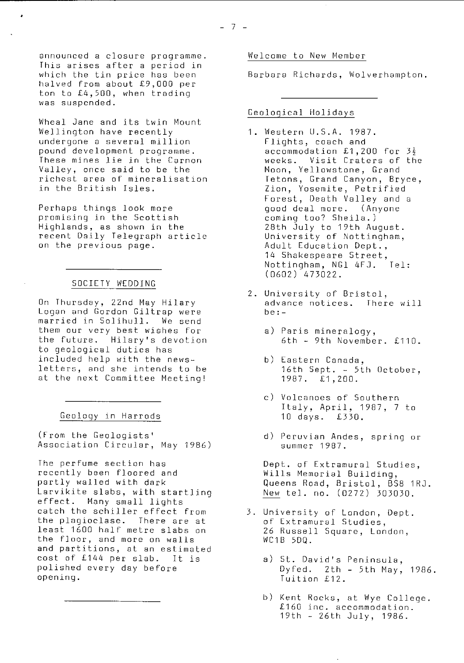announced a closure programme. This arises after a period in which the tin price has been halved from about £ 9,000 per ton to £4,500, when trading was suspended.

Wheal Jane and its twin Mount Wellington have recently undergone a several million pound development programme. These mines lie in the Carnon Valley, once said to be the richest area of mineralisation in the British Isles.

Perhaps things look more promising in the Scottish Highlands, as shown in the recent Daily Telegraph article on the previous page.

### SOCIETY WEDDING

On Thursday, 22nd May Hilary Logan and Gordon Giltrap were married in Solihull. We send them our very best wishes for the future. Hilary's devotion to geological duties has included help with the newsletters, and she intends to be at the next Committee Meeting!

### Geology in Harrods

(From the Geologists' Association Circular, May 1986)

The perfume section has recently been floored and partly walled with dark Larvikite slabs, with startling effect. Many small lights catch the schiller effect from the plagioclase. There are at least 1600 half metre slabs on the floor, and more on walls and partitions, at an estimated cost of £144 per slab. It is polished every day before opening.

### Welcome to New Member

Barbara Richards, Wolverhampton.

### Geological Holidays

- 1. Western U.S.A. 1987. Flights, coach and accommodation £1,200 for  $3\frac{1}{2}$ weeks. Visit Craters of the Moon, Yellowstone, Grand Tetons, Grand Canyon, Bryce, Zion, Yosemite, Petrified Forest, Death Valley and a good deal more. ( Anyone coming too? Sheila.) 28th July to 19th August. University of Nottingham, Adult Education Dept., 14 Shakespeare Street, Nottingham, NGl 4FJ. Tel: ( 0602) 473022.
- 2. University of Bristol, advance notices. There will be:
	- a) Paris mineralogy, 6th - 9th November. £110.
	- b) Eastern Canada, 16th Sept. - 5th October, 1987. £1,200.
	- c) Volcanoes of Southern Italy, April, 1987, 7 to 10 days. £330.
	- d) Peruvian Andes, spring or summer 1987.

Dept. of Extramural Studies, Wills Memorial Building, Queens Road, Bristol, B58 1RJ. New tel. no. (0272) 303030.

- 3. University of London, Dept. of Extramural Studies, 26 Russell Square, London, WC1B 5DQ.
	- a) St. David's Peninsula, Dyfed. 2th - 5th May, 1986. Tuition £12.
	- b) Kent Rocks, at Wye College. £160 inc. accommodation. <sup>1</sup> 9th - 26th July, 1986.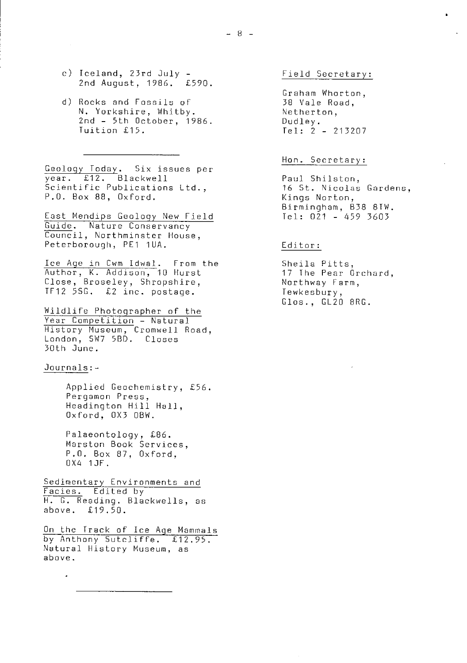- c) Iceland, 23rd July 2nd August, 1986. £590.
- d) Rocks and Fossils of N. Yorkshire, Whitby. 2nd - 5th October, 1986. Tuition £15.

Geology Today. Six issues per year. £12. Blackwell Scientific Publications Ltd., P.O. Box 88, Oxford.

East Mendips Geology New Field Guide. Nature Conservancy Council, Northminster House, Peterborough, PE1 1UA.

Ice Age in Cwm Idwal. From the Author, K. Addison, 10 Hurst Close, Broseley, Shropshire, TF12 550. £2 inc. postage.

Wildlife Photographer of the Year Competition - Natural History Museum, Cromwell Road, London, SW7 5BD, Closes 30th June.

### Journals:--

Applied Geochemistry, £56. Pergamon Press, Headington Hill Hall, Oxford, 0X3 OBW.

Palaeontology, £86. Marston Book Services, P.O. Box 87, Oxford, 0X4 1JF.

Sedimentary Environments and Eacies. Edited by H. G. Reading. Blackwells, as above. £19.50.

On the Track of Ice Age Mammals by Anthony Sutcliffe. £12.95. Natural History Museum, as above.

Field Secretary:

i.

Graham Wharton, 38 Vale Road, Netherton, Dudley. Tel: 2 - 213207

### Hon. Secretary:

Paul Shilston, 16 St. Nicolas Gardens, Kings Norton, Birmingham, B38 8TW.  $Tel: 021 - 459 3603$ 

### Editor:

Sheila Pitts, 17 The Pear Orchard, Northway Farm, Tewkesbury, Glos., GL20 SRG.